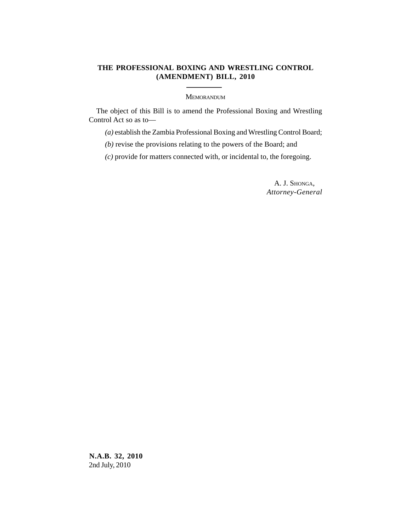## **THE PROFESSIONAL BOXING AND WRESTLING CONTROL (AMENDMENT) BILL, 2010**

MEMORANDUM

The object of this Bill is to amend the Professional Boxing and Wrestling Control Act so as to—

*(a)* establish the Zambia Professional Boxing and Wrestling Control Board;

*(b)* revise the provisions relating to the powers of the Board; and

*(c)* provide for matters connected with, or incidental to, the foregoing.

A. J. SHONGA, *Attorney-General*

**N.A.B. 32, 2010** 2nd July, 2010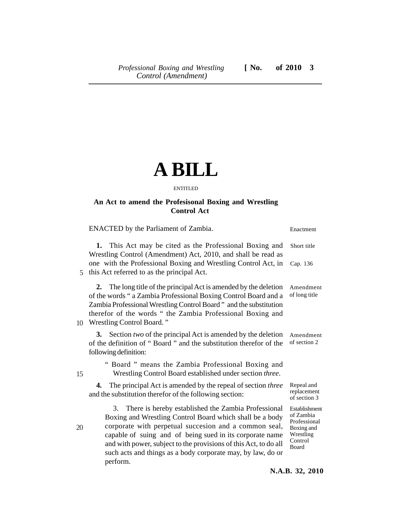## **A BILL**

ENTITLED

## **An Act to amend the Profesisonal Boxing and Wrestling Control Act**

|    | ENACTED by the Parliament of Zambia.                                                                                                                                                                                                                                                                                                                                                      | Enactment                                                                                 |
|----|-------------------------------------------------------------------------------------------------------------------------------------------------------------------------------------------------------------------------------------------------------------------------------------------------------------------------------------------------------------------------------------------|-------------------------------------------------------------------------------------------|
|    | This Act may be cited as the Professional Boxing and<br>1.<br>Wrestling Control (Amendment) Act, 2010, and shall be read as                                                                                                                                                                                                                                                               | Short title                                                                               |
| 5  | one with the Professional Boxing and Wrestling Control Act, in<br>this Act referred to as the principal Act.                                                                                                                                                                                                                                                                              | Cap. 136                                                                                  |
|    | 2. The long title of the principal Act is amended by the deletion<br>of the words " a Zambia Professional Boxing Control Board and a<br>Zambia Professional Wrestling Control Board" and the substitution<br>therefor of the words " the Zambia Professional Boxing and<br>10 Wrestling Control Board."                                                                                   | Amendment<br>of long title                                                                |
|    | 3. Section two of the principal Act is amended by the deletion<br>of the definition of "Board" and the substitution therefor of the<br>following definition:                                                                                                                                                                                                                              | Amendment<br>of section 2                                                                 |
| 15 | " Board " means the Zambia Professional Boxing and<br>Wrestling Control Board established under section three.                                                                                                                                                                                                                                                                            |                                                                                           |
|    | The principal Act is amended by the repeal of section three<br>4.<br>and the substitution therefor of the following section:                                                                                                                                                                                                                                                              | Repeal and<br>replacement<br>of section 3                                                 |
| 20 | There is hereby established the Zambia Professional<br>3.<br>Boxing and Wrestling Control Board which shall be a body<br>corporate with perpetual succesion and a common seal,<br>capable of suing and of being sued in its corporate name<br>and with power, subject to the provisions of this Act, to do all<br>such acts and things as a body corporate may, by law, do or<br>perform. | Establishment<br>of Zambia<br>Professional<br>Boxing and<br>Wrestling<br>Control<br>Board |

**N.A.B. 32, 2010**